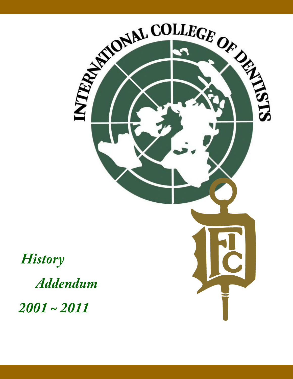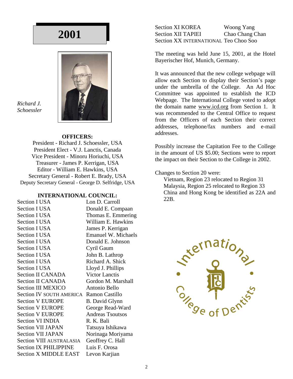

*Richard J. Schoessler*

#### **OFFICERS:**

President - Richard J. Schoessler, USA President Elect - V.J. Lanctis, Canada Vice President - Minoru Horiuchi, USA Treasurer - James P. Kerrigan, USA Editor - William E. Hawkins, USA Secretary General - Robert E. Brady, USA Deputy Secretary General - George D. Selfridge, USA

#### **INTERNATIONAL COUNCIL:**

| Section I USA                   | Lon D. Carroll             |
|---------------------------------|----------------------------|
| <b>Section I USA</b>            | Donald E. Compaan          |
| <b>Section I USA</b>            | Thomas E. Emmering         |
| <b>Section I USA</b>            | William E. Hawkins         |
| <b>Section I USA</b>            | James P. Kerrigan          |
| <b>Section I USA</b>            | <b>Emanuel W. Michaels</b> |
| <b>Section I USA</b>            | Donald E. Johnson          |
| <b>Section I USA</b>            | Cyril Gaum                 |
| <b>Section I USA</b>            | John B. Lathrop            |
| <b>Section I USA</b>            | Richard A. Shick           |
| <b>Section I USA</b>            | Lloyd J. Phillips          |
| <b>Section II CANADA</b>        | <b>Victor Lanctis</b>      |
| <b>Section II CANADA</b>        | Gordon M. Marshall         |
| <b>Section III MEXICO</b>       | Antonio Bello              |
| <b>Section IV SOUTH AMERICA</b> | Ramon Castillo             |
| <b>Section V EUROPE</b>         | <b>B.</b> David Glynn      |
| <b>Section V EUROPE</b>         | George Read-Ward           |
| <b>Section V EUROPE</b>         | <b>Andreas Tsoutsos</b>    |
| <b>Section VI INDIA</b>         | R. K. Bali                 |
| <b>Section VII JAPAN</b>        | Tatsuya Ishikawa           |
| <b>Section VII JAPAN</b>        | Norinaga Moriyama          |
| Section VIII AUSTRALASIA        | Geoffrey C. Hall           |
| <b>Section IX PHILIPPINE</b>    | Luis F. Orosa              |
| <b>Section X MIDDLE EAST</b>    | Levon Karjian              |

Section XI KOREA Woong Yang Section XII TAPIEI Chao Chang Chan Section XX INTERNATIONAL Teo Choo Soo

The meeting was held June 15, 2001, at the Hotel Bayerischer Hof, Munich, Germany.

It was announced that the new college webpage will allow each Section to display their Section's page under the umbrella of the College. An Ad Hoc Committee was appointed to establish the ICD Webpage. The International College voted to adopt the domain name www.icd.org from Section 1. It was recommended to the Central Office to request from the Officers of each Section their correct addresses, telephone/fax numbers and e-mail addresses.

Possibly increase the Capitation Fee to the College in the amount of US \$5.00; Sections were to report the impact on their Section to the College in 2002.

#### Changes to Section 20 were:

Vietnam, Region 23 relocated to Region 31 Malaysia, Region 25 relocated to Region 33 China and Hong Kong be identified as 22A and 22B.

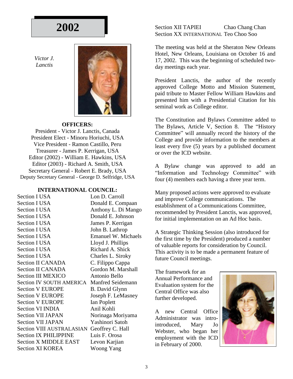*Victor J. Lanctis*



#### **OFFICERS:**

President - Victor J. Lanctis, Canada President Elect - Minoru Horiuchi, USA Vice President - Ramon Castillo, Peru Treasurer - James P. Kerrigan, USA Editor (2002) - William E. Hawkins, USA Editor (2003) - Richard A. Smith, USA Secretary General - Robert E. Brady, USA Deputy Secretary General - George D. Selfridge, USA

#### **INTERNATIONAL COUNCIL:**

Section I USA Lon D. Carroll Section I USA Donald E. Compaan Section I USA Anthony L. Di Mango Section I USA Donald E. Johnson Section I USA James P. Kerrigan Section I USA John B. Lathrop Section I USA Emanuel W. Michaels Section I USA Lloyd J. Phillips Section I USA Richard A. Shick Section I USA Charles L. Siroky Section II CANADA C. Filippo Cappa Section II CANADA Gordon M. Marshall Section III MEXICO Antonio Bello Section IV SOUTH AMERICA Manfred Seidemann Section V EUROPE B. David Glynn Section V EUROPE Joseph F. LeMasney Section V EUROPE Ian Poplett Section VI INDIA Anil Kohli Section VII JAPAN Norinaga Moriyama Section VII JAPAN Yashinori Satoh Section VIII AUSTRALASIAN Geoffrey C. Hall Section IX PHILIPPINE Luis F. Orosa Section X MIDDLE EAST Levon Karjian Section XI KOREA Woong Yang

Section XII TAPIEI Chao Chang Chan Section XX INTERNATIONAL Teo Choo Soo

The meeting was held at the Sheraton New Orleans Hotel, New Orleans, Louisiana on October 16 and 17, 2002. This was the beginning of scheduled twoday meetings each year.

President Lanctis, the author of the recently approved College Motto and Mission Statement, paid tribute to Master Fellow William Hawkins and presented him with a Presidential Citation for his seminal work as College editor.

The Constitution and Bylaws Committee added to The Bylaws, Article V, Section 8. The "History Committee" will annually record the history of the College and provide information to the members at least every five (5) years by a published document or over the ICD website.

A Bylaw change was approved to add an "Information and Technology Committee" with four (4) members each having a three year term.

Many proposed actions were approved to evaluate and improve College communications. The establishment of a Communications Committee, recommended by President Lanctis, was approved, for initial implementation on an Ad Hoc basis.

A Strategic Thinking Session (also introduced for the first time by the President) produced a number of valuable reports for consideration by Council. This activity is to be made a permanent feature of future Council meetings.

The framework for an Annual Performance and Evaluation system for the Central Office was also further developed.

A new Central Office Administrator was introintroduced, Mary Jo Webster, who began her employment with the ICD in February of 2000.

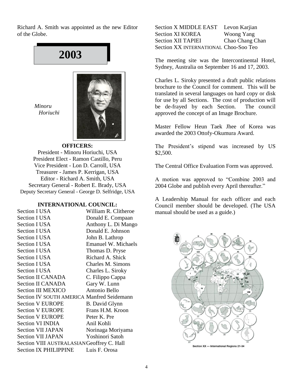Richard A. Smith was appointed as the new Editor of the Globe.

# **2003**

*Minoru Horiuchi*



#### **OFFICERS:**

President - Minoru Horiuchi, USA President Elect - Ramon Castillo, Peru Vice President - Lon D. Carroll, USA Treasurer - James P. Kerrigan, USA Editor - Richard A. Smith, USA Secretary General - Robert E. Brady, USA Deputy Secretary General - George D. Selfridge, USA

#### **INTERNATIONAL COUNCIL:**

| <b>Section I USA</b>                              | William R. Clitheroe       |
|---------------------------------------------------|----------------------------|
| <b>Section I USA</b>                              | Donald E. Compaan          |
| <b>Section I USA</b>                              | Anthony L. Di Mango        |
| <b>Section I USA</b>                              | Donald E. Johnson          |
| Section I USA                                     | John B. Lathrop            |
| Section I USA                                     | <b>Emanuel W. Michaels</b> |
| Section I USA                                     | Thomas D. Pryse            |
| <b>Section I USA</b>                              | Richard A. Shick           |
| <b>Section I USA</b>                              | Charles M. Simons          |
| Section I USA                                     | Charles L. Siroky          |
| <b>Section II CANADA</b>                          | C. Filippo Cappa           |
| <b>Section II CANADA</b>                          | Gary W. Lunn               |
| <b>Section III MEXICO</b>                         | Antonio Bello              |
| <b>Section IV SOUTH AMERICA Manfred Seidemann</b> |                            |
| <b>Section V EUROPE</b>                           | <b>B.</b> David Glynn      |
| <b>Section V EUROPE</b>                           | Frans H.M. Kroon           |
| <b>Section V EUROPE</b>                           | Peter K. Pre               |
| Section VI INDIA                                  | Anil Kohli                 |
| <b>Section VII JAPAN</b>                          | Norinaga Moriyama          |
| Section VII JAPAN                                 | Yoshinori Satoh            |
| Section VIII AUSTRALASIANGeoffrey C. Hall         |                            |
| <b>Section IX PHILIPPINE</b>                      | Luis F. Orosa              |

Section X MIDDLE EAST Levon Karjian Section XI KOREA Woong Yang Section XII TAPIEI Chao Chang Chan Section XX INTERNATIONAL Choo-Soo Teo

The meeting site was the Intercontinental Hotel, Sydney, Australia on September 16 and 17, 2003.

Charles L. Siroky presented a draft public relations brochure to the Council for comment. This will be translated in several languages on hard copy or disk for use by all Sections. The cost of production will be de-frayed by each Section. The council approved the concept of an Image Brochure.

Master Fellow Heun Taek Jhee of Korea was awarded the 2003 Ottofy-Okumura Award.

The President's stipend was increased by US \$2,500.

The Central Office Evaluation Form was approved.

A motion was approved to "Combine 2003 and 2004 Globe and publish every April thereafter."

A Leadership Manual for each officer and each Council member should be developed. (The USA manual should be used as a guide.)



4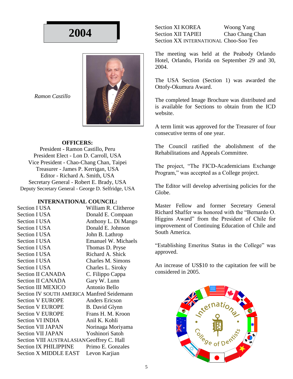

*Ramon Castillo*

#### **OFFICERS:**

President - Ramon Castillo, Peru President Elect - Lon D. Carroll, USA Vice President - Chao-Chang Chan, Taipei Treasurer - James P. Kerrigan, USA Editor - Richard A. Smith, USA Secretary General - Robert E. Brady, USA Deputy Secretary General - George D. Selfridge, USA

#### **INTERNATIONAL COUNCIL:**

| <b>Section I USA</b>                              | William R. Clitheroe       |
|---------------------------------------------------|----------------------------|
| <b>Section I USA</b>                              | Donald E. Compaan          |
| <b>Section I USA</b>                              | Anthony L. Di Mango        |
| <b>Section I USA</b>                              | Donald E. Johnson          |
| <b>Section I USA</b>                              | John B. Lathrop            |
| <b>Section I USA</b>                              | <b>Emanuel W. Michaels</b> |
| <b>Section I USA</b>                              | Thomas D. Pryse            |
| <b>Section I USA</b>                              | Richard A. Shick           |
| <b>Section I USA</b>                              | Charles M. Simons          |
| <b>Section I USA</b>                              | Charles L. Siroky          |
| <b>Section II CANADA</b>                          | C. Filippo Cappa           |
| <b>Section II CANADA</b>                          | Gary W. Lunn               |
| <b>Section III MEXICO</b>                         | Antonio Bello              |
| <b>Section IV SOUTH AMERICA Manfred Seidemann</b> |                            |
| <b>Section V EUROPE</b>                           | <b>Anders Ericson</b>      |
| <b>Section V EUROPE</b>                           | <b>B.</b> David Glynn      |
| <b>Section V EUROPE</b>                           | Frans H. M. Kroon          |
| <b>Section VI INDIA</b>                           | Anil K. Kohli              |
| Section VII JAPAN                                 | Norinaga Moriyama          |
| <b>Section VII JAPAN</b>                          | Yoshinori Satoh            |
| Section VIII AUSTRALASIANGeoffrey C. Hall         |                            |
| <b>Section IX PHILIPPINE</b>                      | Primo E. Gonzales          |
| <b>Section X MIDDLE EAST</b>                      | Levon Karjian              |

Section XI KOREA Woong Yang Section XII TAPIEI Chao Chang Chan Section XX INTERNATIONAL Choo-Soo Teo

The meeting was held at the Peabody Orlando Hotel, Orlando, Florida on September 29 and 30, 2004.

The USA Section (Section 1) was awarded the Ottofy-Okumura Award.

The completed Image Brochure was distributed and is available for Sections to obtain from the ICD website.

A term limit was approved for the Treasurer of four consecutive terms of one year.

The Council ratified the abolishment of the Rehabilitations and Appeals Committee.

The project, "The FICD-Academicians Exchange Program," was accepted as a College project.

The Editor will develop advertising policies for the Globe.

Master Fellow and former Secretary General Richard Shaffer was honored with the "Bernardo O. Higgins Award" from the President of Chile for improvement of Continuing Education of Chile and South America.

"Establishing Emeritus Status in the College" was approved.

An increase of US\$10 to the capitation fee will be considered in 2005.

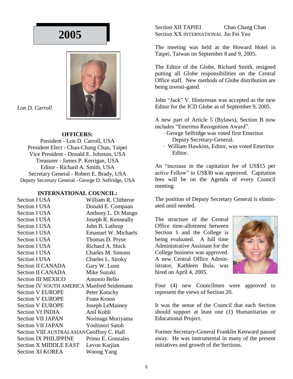

*Lon D. Carroll*

#### **OFFICERS:**

President - Lon D. Carroll, USA President Elect - Chao-Chang Chan, Taipei Vice President - Donald E. Johnson, USA Treasurer - James P. Kerrigan, USA Editor - Richard A. Smith, USA Secretary General - Robert E. Brady, USA Deputy Secretary General - George D. Selfridge, USA

#### **INTERNATIONAL COUNCIL:**

| <b>Section I USA</b>                              | William R. Clitheroe       |
|---------------------------------------------------|----------------------------|
| <b>Section I USA</b>                              | Donald E. Compaan          |
| <b>Section I USA</b>                              | Anthony L. Di Mango        |
| <b>Section I USA</b>                              | Joseph R. Kenneally        |
| Section I USA                                     | John B. Lathrop            |
| <b>Section I USA</b>                              | <b>Emanuel W. Michaels</b> |
| <b>Section I USA</b>                              | Thomas D. Pryse            |
| <b>Section I USA</b>                              | Richard A. Shick           |
| <b>Section I USA</b>                              | Charles M. Simons          |
| Section I USA                                     | Charles L. Siroky          |
| <b>Section II CANADA</b>                          | Gary W. Lunn               |
| Section II CANADA                                 | Mike Suzuki                |
| <b>Section III MEXICO</b>                         | Antonio Bello              |
| <b>Section IV SOUTH AMERICA Manfred Seidemann</b> |                            |
| <b>Section V EUROPE</b>                           | Peter Kotschy              |
| <b>Section V EUROPE</b>                           | <b>Frans Kroon</b>         |
| <b>Section V EUROPE</b>                           | Joseph LeMasney            |
| Section VI INDIA                                  | Anil Kohli                 |
| <b>Section VII JAPAN</b>                          | Norinaga Moriyama          |
| <b>Section VII JAPAN</b>                          | Yoshinori Satoh            |
| Section VIII AUSTRALASIANGeoffrey C. Hall         |                            |
| <b>Section IX PHILIPPINE</b>                      | Primo E. Gonzales          |
| <b>Section X MIDDLE EAST</b>                      | Levon Karjian              |
| <b>Section XI KOREA</b>                           | <b>Woong Yang</b>          |

Section XII TAPIEI Chao Chang Chan Section XX INTERNATIONAL Jin Fei Yeo

The meeting was held at the Howard Hotel in Taipei, Taiwan on September 8 and 9, 2005.

The Editor of the Globe, Richard Smith, resigned putting all Globe responsibilities on the Central Office staff. New methods of Globe distribution are being investi-gated.

John "Jack" V. Hinterman was accepted as the new Editor for the ICD Globe as of September 9, 2005.

A new part of Article 5 (Bylaws), Section B now includes "Emeritus Recognition Award".

- ∙ George Selfridge was voted first Emeritus Deputy Secretary-General.
- ∙ William Hawkins, Editor, was voted Emeritus Editor.

An "increase in the capitation fee of US\$15 per active Fellow" to US\$30 was approved. Capitation fees will be on the Agenda of every Council meeting.

The position of Deputy Secretary General is eliminated until needed.

The structure of the Central Office time-allotment between Section 1 and the College is being evaluated. A full time Administrative Assistant for the College business was approved. A new Central Office Administrator, Kathleen Bula, was hired on April 4, 2005.



Four (4) new Councilmen were approved to represent the views of Section 20.

It was the sense of the Council that each Section should support at least one (1) Humanitarian or Educational Project.

Former Secretary-General Franklin Kenward passed away. He was instrumental in many of the present initiatives and growth of the Sections.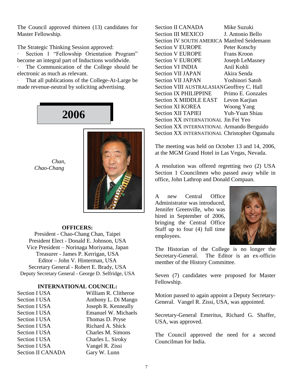The Council approved thirteen (13) candidates for Master Fellowship.

The Strategic Thinking Session approved:

∙ Section 1 "Fellowship Orientation Program" become an integral part of Inductions worldwide.

∙ The Communication of the College should be electronic as much as relevant.

∙ That all publications of the College-At-Large be made revenue-neutral by soliciting advertising.

**2006**



### *Chao-Chang*

 *Chan,*

#### **OFFICERS:**

President - Chao-Chang Chan, Taipei President Elect - Donald E. Johnson, USA Vice President – Norinaga Moriyama, Japan Treasurer - James P. Kerrigan, USA Editor – John V. Hinterman, USA Secretary General - Robert E. Brady, USA Deputy Secretary General - George D. Selfridge, USA

#### **INTERNATIONAL COUNCIL:**

| William R. Clitheroe       |
|----------------------------|
| Anthony L. Di Mango        |
| Joseph R. Kenneally        |
| <b>Emanuel W. Michaels</b> |
| Thomas D. Pryse            |
| Richard A. Shick           |
| Charles M. Simons          |
| Charles L. Siroky          |
| Vangel R. Zissi            |
| Gary W. Lunn               |
|                            |

| <b>Section II CANADA</b>                          | Mike Suzuki       |
|---------------------------------------------------|-------------------|
| <b>Section III MEXICO</b>                         | J. Antonio Bello  |
| <b>Section IV SOUTH AMERICA Manfred Seidemann</b> |                   |
| <b>Section V EUROPE</b>                           | Peter Kotschy     |
| <b>Section V EUROPE</b>                           | Frans Kroon       |
| <b>Section V EUROPE</b>                           | Joseph LeMasney   |
| <b>Section VI INDIA</b>                           | Anil Kohli        |
| <b>Section VII JAPAN</b>                          | Akira Senda       |
| <b>Section VII JAPAN</b>                          | Yoshinori Satoh   |
| Section VIII AUSTRALASIANGeoffrey C. Hall         |                   |
| <b>Section IX PHILIPPINE</b>                      | Primo E. Gonzales |
| <b>Section X MIDDLE EAST</b>                      | Levon Karjian     |
| <b>Section XI KOREA</b>                           | Woong Yang        |
| <b>Section XII TAPIEI</b>                         | Yuh-Yuan Shiau    |
| Section XX INTERNATIONAL Jin Fei Yeo              |                   |
| Section XX INTERNATIONAL Armando Berguido         |                   |
| Section XX INTERNATIONAL Christopher Ogunsalu     |                   |
|                                                   |                   |

The meeting was held on October 13 and 14, 2006, at the MGM Grand Hotel in Las Vegas, Nevada.

A resolution was offered regretting two (2) USA Section 1 Councilmen who passed away while in office, John Lathrop and Donald Compaan.

A new Central Office Administrator was introduced, Jennifer Greenville, who was hired in September of 2006, bringing the Central Office Staff up to four (4) full time employees.



The Historian of the College is no longer the Secretary-General. The Editor is an ex-officio member of the History Committee.

Seven (7) candidates were proposed for Master Fellowship.

Motion passed to again appoint a Deputy Secretary-General. Vangel R. Zissi, USA, was appointed.

Secretary-General Emeritus, Richard G. Shaffer, USA, was approved.

The Council approved the need for a second Councilman for India.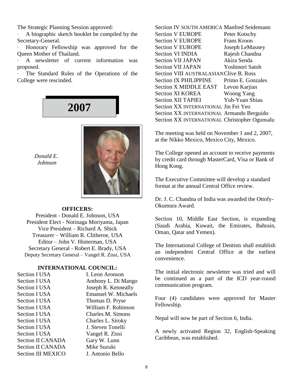The Strategic Planning Session approved:

∙ A biographic sketch booklet be compiled by the Secretary-General.

∙ Honorary Fellowship was approved for the Queen Mother of Thailand.

∙ A newsletter of current information was proposed.

∙ The Standard Rules of the Operations of the College were rescinded.



*Donald E. Johnson*



#### **OFFICERS:**

President - Donald E. Johnson, USA President Elect - Norinaga Moriyama, Japan Vice President – Richard A. Shick Treasurer – William R. Clitheroe, USA Editor – John V. Hinterman, USA Secretary General - Robert E. Brady, USA Deputy Secretary General – Vangel R. Zissi, USA

#### **INTERNATIONAL COUNCIL:**

| <b>Section I USA</b>      | I. Leon Aronson            |
|---------------------------|----------------------------|
| <b>Section I USA</b>      | Anthony L. Di Mango        |
| <b>Section I USA</b>      | Joseph R. Kenneally        |
| Section I USA             | <b>Emanuel W. Michaels</b> |
| <b>Section I USA</b>      | Thomas D. Pryse            |
| <b>Section I USA</b>      | William F. Robinson        |
| <b>Section I USA</b>      | Charles M. Simons          |
| <b>Section I USA</b>      | Charles L. Siroky          |
| Section I USA             | J. Steven Tonelli          |
| Section I USA             | Vangel R. Zissi            |
| <b>Section II CANADA</b>  | Gary W. Lunn               |
| <b>Section II CANADA</b>  | Mike Suzuki                |
| <b>Section III MEXICO</b> | J. Antonio Bello           |
|                           |                            |

Section IV SOUTH AMERICA Manfred Seidemann Section V EUROPE Peter Kotschy Section V EUROPE Frans Kroon Section V EUROPE Joseph LeMasney Section VI INDIA Rajesh Chandna Section VII JAPAN Akira Senda Section VII JAPAN Yoshinori Satoh Section VIII AUSTRALASIANClive B. Ross Section IX PHILIPPINE Primo E. Gonzales Section X MIDDLE EAST Levon Karjian Section XI KOREA Woong Yang Section XII TAPIEI Yuh-Yuan Shiau Section XX INTERNATIONAL Jin Fei Yeo Section XX INTERNATIONAL Armando Berguido Section XX INTERNATIONAL Christopher Ogunsalu

The meeting was held on November 1 and 2, 2007, at the Nikko Mexico, Mexico City, Mexico.

The College opened an account to receive payments by credit card through MasterCard, Visa or Bank of Hong Kong.

The Executive Committee will develop a standard format at the annual Central Office review.

Dr. J. C. Chandna of India was awarded the Ottofy-Okumura Award.

Section 10, Middle East Section, is expanding (Saudi Arabia, Kuwait, the Emirates, Bahrain, Oman, Qatar and Yemen).

The International College of Dentists shall establish an independent Central Office at the earliest convenience.

The initial electronic newsletter was tried and will be continued as a part of the ICD year-round communication program.

Four (4) candidates were approved for Master Fellowship.

Nepal will now be part of Section 6, India.

A newly activated Region 32, English-Speaking Caribbean, was established.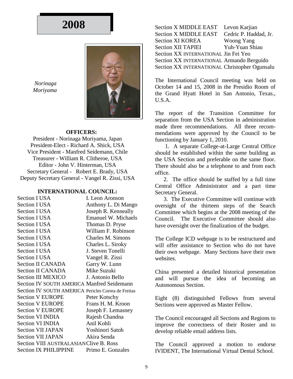

 *Norinaga Moriyama*

#### **OFFICERS:**

President - Norinaga Moriyama, Japan President-Elect - Richard A. Shick, USA Vice President - Manfred Seidemann, Chile Treasurer - William R. Clitheroe, USA Editor - John V. Hinterman, USA Secretary General - Robert E. Brady, USA Deputy Secretary General - Vangel R. Zissi, USA

#### **INTERNATIONAL COUNCIL:**

| <b>Section I USA</b>                                | I. Leon Aronson            |
|-----------------------------------------------------|----------------------------|
| <b>Section I USA</b>                                | Anthony L. Di Mango        |
| <b>Section I USA</b>                                | Joseph R. Kenneally        |
| <b>Section I USA</b>                                | <b>Emanuel W. Michaels</b> |
| <b>Section I USA</b>                                | Thomas D. Pryse            |
| <b>Section I USA</b>                                | William F. Robinson        |
| <b>Section I USA</b>                                | Charles M. Simons          |
| <b>Section I USA</b>                                | Charles L. Siroky          |
| <b>Section I USA</b>                                | J. Steven Tonelli          |
| Section I USA                                       | Vangel R. Zissi            |
| <b>Section II CANADA</b>                            | Garry W. Lunn              |
| <b>Section II CANADA</b>                            | Mike Suzuki                |
| <b>Section III MEXICO</b>                           | J. Antonio Bello           |
| <b>Section IV SOUTH AMERICA Manfred Seidemann</b>   |                            |
| Section IV SOUTH AMERICA Pericles Correa de Freitas |                            |
| <b>Section V EUROPE</b>                             | Peter Kotschy              |
| <b>Section V EUROPE</b>                             | Frans H. M. Kroon          |
| <b>Section V EUROPE</b>                             | Joseph F. Lemasney         |
| <b>Section VI INDIA</b>                             | Rajesh Chandna             |
| <b>Section VI INDIA</b>                             | Anil Kohli                 |
| Section VII JAPAN                                   | Yoshinori Satoh            |
| <b>Section VII JAPAN</b>                            | Akira Senda                |
| Section VIII AUSTRALASIANClive B. Ross              |                            |
| <b>Section IX PHILIPPINE</b>                        | Primo E. Gonzales          |

Section X MIDDLE EAST Levon Karjian Section X MIDDLE EAST Cedric P. Haddad, Jr. Section XI KOREA Woong Yang Section XII TAPIEI Yuh-Yuan Shiau Section XX INTERNATIONAL Jin Fei Yeo Section XX INTERNATIONAL Armando Berguido Section XX INTERNATIONAL Christopher Ogunsalu

The International Council meeting was held on October 14 and 15, 2008 in the Presidio Room of the Grand Hyatt Hotel in San Antonio, Texas., U.S.A.

The report of the Transition Committee for separation from the USA Section in administration made three recommendations. All three recommendations were approved by the Council to be functioning by January 1, 2010.

 1. A separate College-at-Large Central Office should be established within the same building as the USA Section and preferable on the same floor. There should also be a telephone to and from each office.

 2. The office should be staffed by a full time Central Office Administrator and a part time Secretary General.

 3. The Executive Committee will continue with oversight of the thirteen steps of the Search Committee which begins at the 2008 meeting of the Council. The Executive Committee should also have oversight over the finalization of the budget.

The College ICD webpage is to be restructured and will offer assistance to Section who do not have their own webpage. Many Sections have their own websites.

China presented a detailed historical presentation and will pursue the idea of becoming an Autonomous Section.

Eight (8) distinguished Fellows from several Sections were approved as Master Fellow.

The Council encouraged all Sections and Regions to improve the correctness of their Roster and to develop reliable email address lists.

The Council approved a motion to endorse IVIDENT, The International Virtual Dental School.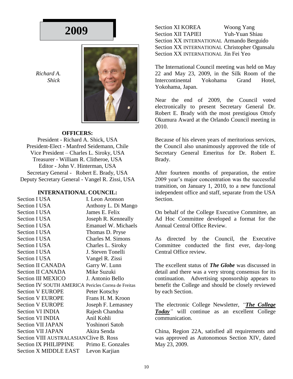*Richard A. Shick*



#### **OFFICERS:**

President - Richard A. Shick, USA President-Elect - Manfred Seidemann, Chile Vice President – Charles L. Siroky, USA Treasurer - William R. Clitheroe, USA Editor - John V. Hinterman, USA Secretary General - Robert E. Brady, USA Deputy Secretary General - Vangel R. Zissi, USA

#### **INTERNATIONAL COUNCIL:**

Section I USA I. Leon Aronson Section I USA Anthony L. Di Mango Section I USA James E. Felix Section I USA Joseph R. Kenneally Section I USA Emanuel W. Michaels Section I USA Thomas D. Pryse Section I USA Charles M. Simons Section I USA Charles L. Siroky Section I USA J. Steven Tonelli Section I USA Vangel R. Zissi Section II CANADA Garry W. Lunn Section II CANADA Mike Suzuki Section III MEXICO J. Antonio Bello Section IV SOUTH AMERICA Pericles Correa de Freitas Section V EUROPE Peter Kotschy Section V EUROPE Frans H. M. Kroon Section V EUROPE Joseph F. Lemasney Section VI INDIA Rajesh Chandna Section VI INDIA Anil Kohli Section VII JAPAN Yoshinori Satoh Section VII JAPAN Akira Senda Section VIII AUSTRALASIANClive B. Ross Section IX PHILIPPINE Primo E. Gonzales Section X MIDDLE EAST Levon Karjian

Section XI KOREA Woong Yang Section XII TAPIEI Yuh-Yuan Shiau Section XX INTERNATIONAL Armando Berguido Section XX INTERNATIONAL Christopher Ogunsalu Section XX INTERNATIONAL Jin Fei Yeo

The International Council meeting was held on May 22 and May 23, 2009, in the Silk Room of the Intercontinental Yokohama Grand Hotel, Yokohama, Japan.

Near the end of 2009, the Council voted electronically to present Secretary General Dr. Robert E. Brady with the most prestigious Ottofy Okumura Award at the Orlando Council meeting in 2010.

Because of his eleven years of meritorious services, the Council also unanimously approved the title of Secretary General Emeritus for Dr. Robert E. Brady.

After fourteen months of preparation, the entire 2009 year's major concentration was the successful transition, on January 1, 2010, to a new functional independent office and staff, separate from the USA Section.

On behalf of the College Executive Committee, an Ad Hoc Committee developed a format for the Annual Central Office Review.

As directed by the Council, the Executive Committee conducted the first ever, day-long Central Office review.

The excellent status of *The Globe* was discussed in detail and there was a very strong consensus for its continuation. Advertising sponsorship appears to benefit the College and should be closely reviewed by each Section.

The electronic College Newsletter, *"The College Today"* will continue as an excellent College communication.

China, Region 22A, satisfied all requirements and was approved as Autonomous Section XIV, dated May 23, 2009.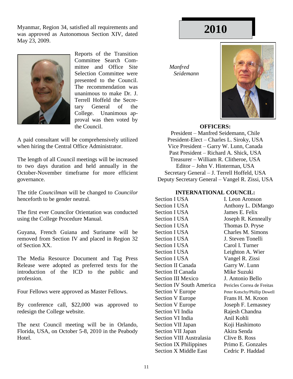Myanmar, Region 34, satisfied all requirements and **2010** was approved as Autonomous Section XIV, dated May 23, 2009.



Reports of the Transition Committee Search Committee and Office Site Selection Committee were presented to the Council. The recommendation was unanimous to make Dr. J. Terrell Hoffeld the Secretary General of the College. Unanimous approval was then voted by the Council.

A paid consultant will be comprehensively utilized when hiring the Central Office Administrator.

The length of all Council meetings will be increased to two days duration and held annually in the October-November timeframe for more efficient governance.

The title *Councilman* will be changed to *Councilor* henceforth to be gender neutral.

The first ever Councilor Orientation was conducted using the College Procedure Manual.

Guyana, French Guiana and Suriname will be removed from Section IV and placed in Region 32 of Section XX.

The Media Resource Document and Tag Press Release were adopted as preferred texts for the introduction of the ICD to the public and profession.

Four Fellows were approved as Master Fellows.

By conference call, \$22,000 was approved to redesign the College website.

The next Council meeting will be in Orlando, Florida, USA, on October 5-8, 2010 in the Peabody Hotel.

 *Manfred Seidemann*



#### **OFFICERS:**

President – Manfred Seidemann, Chile President-Elect – Charles L. Siroky, USA Vice President – Garry W. Lunn, Canada Past President – Richard A. Shick, USA Treasurer – William R. Clitheroe, USA Editor – John V. Hinterman, USA Secretary General – J. Terrell Hoffeld, USA Deputy Secretary General – Vangel R. Zissi, USA

#### **INTERNATIONAL COUNCIL:**

Section I USA I. Leon Aronson Section I USA Anthony L. DiMango Section I USA James E. Felix Section I USA Joseph R. Kenneally Section I USA Thomas D. Pryse Section I USA Charles M. Simons Section I USA J. Steven Tonelli Section I USA Carol I. Turner Section I USA Leighton A. Wier Section I USA Vangel R. Zissi Section II Canada Garry W. Lunn Section II Canada Mike Suzuki Section III Mexico J. Antonio Bello Section IV South America Pericles Correa de Freitas Section V Europe Peter Kotschy/Phillip Dowell Section V Europe Frans H. M. Kroon Section V Europe Joseph F. Lemasney Section VI India Rajesh Chandna Section VI India Anil Kohli Section VII Japan Koji Hashimoto Section VII Japan Akira Senda Section VIII Australasia Clive B. Ross Section IX Philippines Primo E. Gonzales Section X Middle East Cedric P. Haddad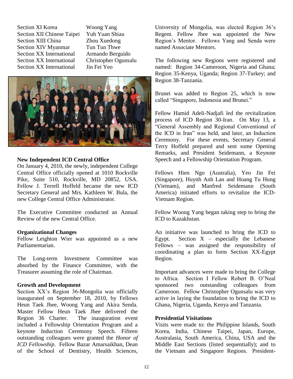Section XI Korea Woong Yang Section XII Chinese Taipei Yuh Yuan Shiau Section XIII China Zhou Xuedong Section XIV Myanmar Tun Tun Thwe Section XX International Armando Berguido Section XX International Christopher Ogunsalu Section XX International Jin Fei Yeo



#### **New Independent ICD Central Office**

On January 4, 2010, the newly, independent College Central Office officially opened at 1010 Rockville Pike, Suite 510, Rockville, MD 20852, USA. Fellow J. Terrell Hoffeld became the new ICD Secretary General and Mrs. Kathleen W. Bula, the new College Central Office Administrator.

The Executive Committee conducted an Annual Review of the new Central Office.

#### **Organizational Changes**

Fellow Leighton Wier was appointed as a new Parliamentarian.

The Long-term Investment Committee was absorbed by the Finance Committee, with the Treasurer assuming the role of Chairman.

#### **Growth and Development**

Section XX's Region 36-Mongolia was officially inaugurated on September 18, 2010, by Fellows Heun Taek Jhee, Woong Yang and Akira Senda. Master Fellow Heun Taek Jhee delivered the Region 36 Charter. The inauguration event included a Fellowship Orientation Program and a keynote Induction Ceremony Speech. Fifteen outstanding colleagues were granted the *Honor of ICD Fellowship*. Fellow Bazar Amarsaikhan, Dean of the School of Dentistry, Health Sciences,

University of Mongolia, was elected Region 36's Regent. Fellow Jhee was appointed the New Region's Mentor. Fellows Yang and Senda were named Associate Mentors.

The following new Regions were registered and named: Region 34-Cameroon, Nigeria and Ghana; Region 35-Kenya, Uganda; Region 37-Turkey; and Region 38-Tanzania.

Brunei was added to Region 25, which is now called "Singapore, Indonesia and Brunei."

Fellow Hamid Adeli-Nadjafi led the revitalization process of ICD Region 30-Iran. On May 13, a "General Assembly and Regional Conventional of the ICD in Iran" was held, and later, an Induction Ceremony. For these events, Secretary General Terry Hoffeld prepared and sent some Opening Remarks, and President Seidemann, a Keynote Speech and a Fellowship Orientation Program.

Fellows Hien Ngo (Australia), Yeo Jin Fei (Singapore), Huynh Anh Lan and Hoang Tu Hung (Vietnam), and Manfred Seidemann (South America) initiated efforts to revitalize the ICD-Vietnam Region.

Fellow Woong Yang began taking step to bring the ICD to Kazakhstan.

An initiative was launched to bring the ICD to Egypt. Section  $X$  – especially the Lebanese Fellows – was assigned the responsibility of coordinating a plan to form Section XX-Egypt Region.

Important advances were made to bring the College to Africa. Section I Fellow Robert B. O'Neal sponsored two outstanding colleagues from Cameroon. Fellow Christopher Ogunsalu was very active in laying the foundation to bring the ICD to Ghana, Nigeria, Uganda, Kenya and Tanzania.

#### **Presidential Visitations**

Visits were made to: the Philippine Islands, South Korea, India, Chinese Taipei, Japan, Europe, Australasia, South America, China, USA and the Middle East Sections (listed sequentially); and to the Vietnam and Singapore Regions. President-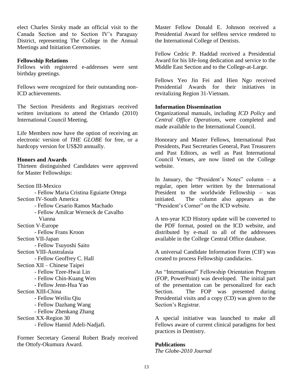elect Charles Siroky made an official visit to the Canada Section and to Section IV's Paraguay District, representing The College in the Annual Meetings and Initiation Ceremonies.

#### **Fellowship Relations**

Fellows with registered e-addresses were sent birthday greetings.

Fellows were recognized for their outstanding non-ICD achievements.

The Section Presidents and Registrars received written invitations to attend the Orlando (2010) International Council Meeting.

Life Members now have the option of receiving an electronic version of *THE GLOBE* for free, or a hardcopy version for US\$20 annually.

#### **Honors and Awards**

Thirteen distinguished Candidates were approved for Master Fellowships:

Section III-Mexico - Fellow Maria Cristina Eguiarte Ortega Section IV-South America - Fellow Cesario Ramos Machado - Fellow Amilcar Werneck de Cavalho Vianna Section V-Europe - Fellow Frans Kroon Section VII-Japan - Fellow Tsuyoshi Saito Section VIII-Australasia - Fellow Geoffrey C. Hall Section XII – Chinese Taipei - Fellow Tzee-Hwai Lin - Fellow Chin-Kuang Wen - Fellow Jenn-Hua Yao Section XIII-China - Fellow Weiliu Qiu - Fellow Dazhang Wang - Fellow Zhenkang Zhang Section XX-Region 30 - Fellow Hamid Adeli-Nadjafi.

Former Secretary General Robert Brady received the Ottofy-Okumura Award.

Master Fellow Donald E. Johnson received a Presidential Award for selfless service rendered to the International College of Dentists.

Fellow Cedric P. Haddad received a Presidential Award for his life-long dedication and service to the Middle East Section and to the College-at-Large.

Fellows Yeo Jin Fei and Hien Ngo received Presidential Awards for their initiatives in revitalizing Region 31-Vietnam.

#### **Information Dissemination**

Organizational manuals, including *ICD Policy* and *Central Office Operations*, were completed and made available to the International Council.

Honorary and Master Fellows, International Past Presidents, Past Secretaries General, Past Treasurers and Past Editors, as well as Past International Council Venues, are now listed on the College website.

In January, the "President's Notes" column – a regular, open letter written by the International President to the worldwide Fellowship – was initiated. The column also appears as the "President's Corner" on the ICD website.

A ten-year ICD History update will be converted to the PDF format, posted on the ICD website, and distributed by e-mail to all of the addressees available in the College Central Office database.

A universal Candidate Information Form (CIF) was created to process Fellowship candidacies.

An "International" Fellowship Orientation Program (FOP, PowerPoint) was developed. The initial part of the presentation can be personalized for each Section. The FOP was presented during Presidential visits and a copy (CD) was given to the Section's Registrar.

A special initiative was launched to make all Fellows aware of current clinical paradigms for best practices in Dentistry.

#### **Publications**

*The Globe-2010 Journal*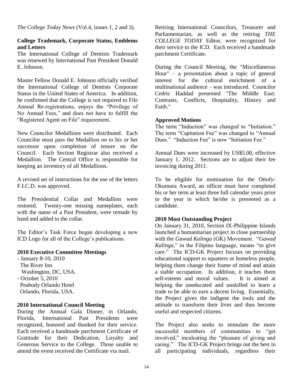*The College Today News* (Vol.4, issues 1, 2 and 3).

#### **College Trademark, Corporate Status, Emblems and Letters**

The International College of Dentists Trademark was renewed by International Past President Donald E. Johnson.

Master Fellow Donald E. Johnson officially verified the International College of Dentists Corporate Status in the United States of America. In addition, he confirmed that the College is not required to File Annual Re-registrations, enjoys the "Privilege of No Annual Fees," and does not have to fulfill the "Registered Agent on File" requirement.

New Councilor Medallions were distributed. Each Councilor must pass the Medallion on to his or her successor upon completion of tenure on the Council. Each Section Registrar also received a Medallion. The Central Office is responsible for keeping an inventory of all Medallions.

A revised set of instructions for the use of the letters F.I.C.D. was approved.

The Presidential Collar and Medallion were restored. Twenty-one missing nameplates, each with the name of a Past President, were remade by hand and added to the collar.

The Editor's Task Force began developing a new ICD Logo for all of the College's publications.

#### **2010 Executive Committee Meetings**

- January 8-10, 2010 The River Inn Washington, DC, USA. - October 5, 2010 Peabody Orlando Hotel

Orlando, Florida, USA.

#### **2010 International Council Meeting**

During the Annual Gala Dinner, in Orlando, Florida, International Past Presidents were recognized, honored and thanked for their service. Each received a handmade parchment Certificate of Gratitude for their Dedication, Loyalty and Generous Service to the College. Those unable to attend the event received the Certificate via mail.

Retiring International Councilors, Treasurer and Parliamentarian, as well as the retiring *THE COLLEGE TODAY* Editor, were recognized for their service to the ICD. Each received a handmade parchment Certificate.

During the Council Meeting, the "Miscellaneous Hour" – a presentation about a topic of general interest for the cultural enrichment of a multinational audience – was introduced. Councilor Cedric Haddad presented "The Middle East: Contrasts, Conflicts, Hospitality, History and Faith."

#### **Approved Motions**

The term "Induction" was changed to "Initiation." The term "Capitation Fee" was changed to "Annual Dues." "Induction Fee" is now "Initiation Fee."

Annual Dues were increased by US\$5.00, effective January 1, 2012. Sections are to adjust their fee invoicing during 2011.

To be eligible for nomination for the Ottofy-Okumura Award, an officer must have completed his or her term at least three full calendar years prior to the year in which he/she is presented as a candidate.

#### **2010 Most Outstanding Project**

On January 31, 2010, Section IX-Philippine Islands launched a humanitarian project in close partnership with the *Gawad Kalinga* (GK) Movement. "*Gawad Kalinga,*" in the Filipino language, means "to give care." The ICD-GK Project focuses on providing educational support to squatters or homeless people, helping them change their frame of mind and attain a stable occupation. In addition, it teaches them self-esteem and moral values. It is aimed at helping the uneducated and unskilled to learn a trade to be able to earn a decent living. Essentially, the Project gives the indigent the tools and the attitude to transform their lives and thus become useful and respected citizens.

The Project also seeks to stimulate the more successful members of communities to "get involved," inculcating the "pleasure of giving and caring." The ICD-GK Project brings out the best in all participating individuals, regardless their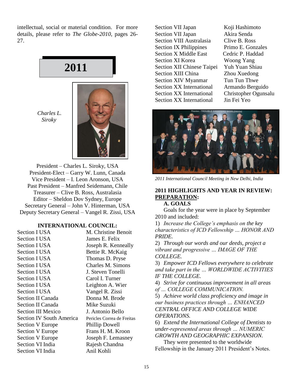intellectual, social or material condition. For more details, please refer to *The Globe-2010*, pages 26- 27.

# **2011**

 *Charles L. Siroky*



President – Charles L. Siroky, USA President-Elect – Garry W. Lunn, Canada Vice President – I. Leon Aronson, USA Past President – Manfred Seidemann, Chile Treasurer – Clive B. Ross, Australasia Editor – Sheldon Dov Sydney, Europe Secretary General – John V. Hinterman, USA Deputy Secretary General – Vangel R. Zissi, USA

#### **INTERNATIONAL COUNCIL:**

| <b>Section I USA</b>            | M. Christine Benoit        |
|---------------------------------|----------------------------|
| <b>Section I USA</b>            | James E. Felix             |
| <b>Section I USA</b>            | Joseph R. Kenneally        |
| <b>Section I USA</b>            | Bettie R. McKaig           |
| <b>Section I USA</b>            | Thomas D. Pryse            |
| <b>Section I USA</b>            | Charles M. Simons          |
| <b>Section I USA</b>            | J. Steven Tonelli          |
| <b>Section I USA</b>            | Carol I. Turner            |
| <b>Section I USA</b>            | Leighton A. Wier           |
| <b>Section I USA</b>            | Vangel R. Zissi            |
| Section II Canada               | Donna M. Brode             |
| <b>Section II Canada</b>        | Mike Suzuki                |
| <b>Section III Mexico</b>       | J. Antonio Bello           |
| <b>Section IV South America</b> | Pericles Correa de Freitas |
| <b>Section V Europe</b>         | <b>Phillip Dowell</b>      |
| <b>Section V Europe</b>         | Frans H. M. Kroon          |
| <b>Section V Europe</b>         | Joseph F. Lemasney         |
| Section VI India                | Rajesh Chandna             |
| Section VI India                | Anil Kohli                 |
|                                 |                            |

Section VII Japan Koji Hashimoto Section VII Japan Akira Senda Section VIII Australasia Clive B. Ross Section IX Philippines Primo E. Gonzales Section X Middle East Cedric P. Haddad Section XI Korea Woong Yang Section XII Chinese Taipei Yuh Yuan Shiau Section XIII China Zhou Xuedong Section XIV Myanmar Tun Tun Thwe Section XX International Armando Berguido Section XX International Christopher Ogunsalu Section XX International Jin Fei Yeo



*2011 International Council Meeting in New Delhi, India*

#### **2011 HIGHLIGHTS AND YEAR IN REVIEW: PREPARATION:**

#### **A. GOALS**

Goals for the year were in place by September 2010 and included:

1) *Increase the College's emphasis on the key characteristics of ICD Fellowship … HONOR AND PRIDE.*

2) *Through our words and our deeds, project a vibrant and progressive … IMAGE OF THE COLLEGE.*

3) *Empower ICD Fellows everywhere to celebrate and take part in the … WORLDWIDE ACTIVITIES IF THE COLLEGE.*

4) *Strive for continuous improvement in all areas of … COLLEGE COMMUNICATION.*

5) *Achieve world class proficiency and image in our business practices through … ENHANCED CENTRAL OFFICE AND COLLEGE WIDE OPERATIONS.*

6) *Extend the International College of Dentists to under-represented areas through … NUMERIC GROWTH AND GEOGRAPHIC EXPANSION.*

They were presented to the worldwide Fellowship in the January 2011 President's Notes.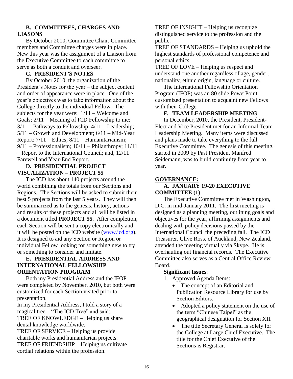#### **B. COMMITTEES, CHARGES AND LIASONS**

By October 2010, Committee Chair, Committee members and Committee charges were in place. New this year was the assignment of a Liaison from the Executive Committee to each committee to serve as both a conduit and overseer.

#### **C. PRESIDENT'S NOTES**

By October 2010, the organization of the President's Notes for the year – the subject content and order of appearance were in place. One of the year's objectives was to take information about the College directly to the individual Fellow. The subjects for the year were:  $1/11 -$  Welcome and Goals; 2/11 – Meaning of ICD Fellowship to me;  $3/11$  – Pathways to Fellowship;  $4/11$  – Leadership; 5/11 – Growth and Development; 6/11 – Mid-Year Report; 7/11 – Ethics; 8/11 – Humanitarianism; 9/11 – Professionalism; 10/11 – Philanthropy; 11/11 – Report to the International Council; and, 12/11 – Farewell and Year-End Report.

#### **D. PRESIDENTIAL PROJECT VISUALIZATION – PROJECT 55**

The ICD has about 140 projects around the world combining the totals from our Sections and Regions. The Sections will be asked to submit their best 5 projects from the last 5 years. They will then be summarized as to the genesis, history, actions and results of these projects and all will be listed in a document titled **PROJECT 55**. After completion, each Section will be sent a copy electronically and it will be posted on the ICD website [\(www.icd.org\)](http://www.icd.org/). It is designed to aid any Section or Region or individual Fellow looking for something new to try or something to consider and imitate.

#### **E. PRESIDENTIAL ADDRESS AND INTERNATIONAL FELLOWSHIP ORIENTATION PROGRAM**

Both my Presidential Address and the IFOP were completed by November, 2010, but both were customized for each Section visited prior to presentation.

In my Presidential Address, I told a story of a magical tree – "The ICD Tree" and said: TREE OF KNOWLEDGE – Helping us share dental knowledge worldwide.

TREE OF SERVICE – Helping us provide charitable works and humanitarian projects. TREE OF FRIENDSHIP – Helping us cultivate cordial relations within the profession.

TREE OF INSIGHT – Helping us recognize distinguished service to the profession and the public.

TREE OF STANDARDS – Helping us uphold the highest standards of professional competence and personal ethics.

TREE OF LOVE – Helping us respect and understand one another regardless of age, gender, nationality, ethnic origin, language or culture.

The International Fellowship Orientation Program (IFOP) was an 80 slide PowerPoint customized presentation to acquaint new Fellows with their College.

#### **F. TEAM LEADERSHIP MEETING**

In December, 2010, the President, President-Elect and Vice President met for an Informal Team Leadership Meeting. Many items were discussed and plans made to take everything to the full Executive Committee. The genesis of this meeting, started in 2009 by Past President Manfred Seidemann, was to build continuity from year to year.

#### **GOVERNANCE:**

#### **A. JANUARY 19-20 EXECUTIVE COMMITTEE (1)**

The Executive Committee met in Washington, D.C. in mid-January 2011. The first meeting is designed as a planning meeting, outlining goals and objectives for the year, affirming assignments and dealing with policy decisions passed by the International Council the preceding fall. The ICD Treasurer, Clive Ross, of Auckland, New Zealand, attended the meeting virtually via Skype. He is overhauling out financial records. The Executive Committee also serves as a Central Office Review Board.

#### **Significant Issue**s:

- 1. Approved Agenda Items:
	- The concept of an Editorial and Publication Resource Library for use by Section Editors.
	- Adopted a policy statement on the use of the term "Chinese Taipei" as the geographical designation for Section XII.
	- The title Secretary General is solely for the College at Large Chief Executive. The title for the Chief Executive of the Sections is Registrar.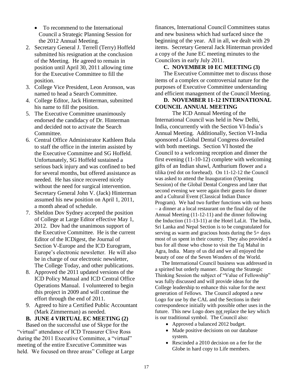- To recommend to the International Council a Strategic Planning Session for the 2012 Annual Meeting.
- 2. Secretary General J. Terrell (Terry) Hoffeld submitted his resignation at the conclusion of the Meeting. He agreed to remain in position until April 30, 2011 allowing time for the Executive Committee to fill the position.
- 3. College Vice President, Leon Aronson, was named to head a Search Committee.
- 4. College Editor, Jack Hinterman, submitted his name to fill the position.
- 5. The Executive Committee unanimously endorsed the candidacy of Dr. Hinterman and decided not to activate the Search Committee.
- 6. Central Office Administrator Kathleen Bula to staff the office in the interim assisted by the Executive Committee and SG Hoffeld. Unfortunately, SG Hoffeld sustained a serious back injury and was confined to bed for several months, but offered assistance as needed. He has since recovered nicely without the need for surgical intervention. Secretary General John V. (Jack) Hinterman assumed his new position on April 1, 2011, a month ahead of schedule.
- 7. Sheldon Dov Sydney accepted the position of College at Large Editor effective May 1, 2012. Dov had the unanimous support of the Executive Committee. He is the current Editor of the ICDigest, the Journal of Section V-Europe and the ICD Eurogram, Europe's electronic newsletter. He will also be in charge of our electronic newsletter, The College Today, and other publications.
- 8. Approved the 2011 updated versions of the ICD Policy Manual and ICD Central Office Operations Manual. I volunteered to begin this project in 2009 and will continue the effort through the end of 2011.
- 9. Agreed to hire a Certified Public Accountant (Mark Zimmerman) as needed.

#### **B. JUNE 4 VIRTUAL EC MEETING (2)**

Based on the successful use of Skype for the "virtual" attendance of ICD Treasurer Clive Ross during the 2011 Executive Committee, a "virtual" meeting of the entire Executive Committee was held. We focused on three areas" College at Large finances, International Council Committees status and new business which had surfaced since the beginning of the year. All in all, we dealt with 29 items. Secretary General Jack Hinterman provided a copy of the June EC meeting minutes to the Councilors in early July 2011.

#### **C. NOVEMBER 10 EC MEETING (3)**

The Executive Committee met to discuss those items of a complex or controversial nature for the purposes of Executive Committee understanding and efficient management of the Council Meeting.

#### **D. NOVEMBER 11-12 INTERNATIONAL COUNCIL ANNUAL MEETING**

The ICD Annual Meeting of the International Council was held in New Delhi, India, concurrently with the Section VI-India's Annual Meeting. Additionally, Section VI-India sponsored a Global Dental Congress dovetailed with both meetings. Section VI hosted the Council to a welcoming reception and dinner the first evening (11-10-12) complete with welcoming gifts of an Indian shawl, Anthurium flower and a tilika (red dot on forehead). On 11-12-12 the Council was asked to attend the Inauguration (Opening Session) of the Global Dental Congress and later that second evening we were again their guests for dinner and a Cultural Event (Classical Indian Dance Program). We had two further functions with our hosts – a dinner at a local restaurant on the final day of the Annual Meeting (11-12-11) and the dinner following the Induction (11-13-11) at the Hotel LaLit. The India, Sri Lanka and Nepal Section is to be congratulated for serving as warm and gracious hosts during the 5+ days most of us spent in their country. They also provided a bus for all those who chose to visit the Taj Mahal in Agra, India. Many of us did and we all enjoyed the beauty of one of the Seven Wonders of the World.

The International Council business was addressed in a spirited but orderly manner. During the Strategic Thinking Session the subject of "Value of Fellowship" was fully discussed and will provide ideas for the College leadership to enhance this value for the next generation of Fellows. The Council adopted a new Logo for use by the CAL and the Sections in their correspondence initially with possible other uses in the future. This new Logo does not replace the key which is our traditional symbol. The Council also:

- Approved a balanced 2012 budget.
- Made positive decisions on our database system.
- Rescinded a 2010 decision on a fee for the Globe in hard copy to Life members.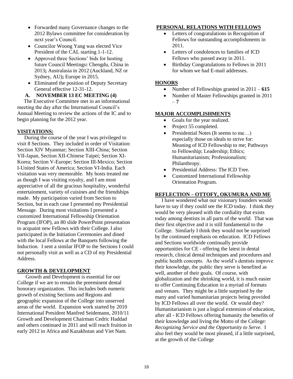- Forwarded many Governance changes to the 2012 Bylaws committee for consideration by next year's Council.
- Councilor Woong Yang was elected Vice President of the CAL starting 1-1-12.
- Approved three Sections' bids for hosting future Council Meetings**:** Chengdu, China in 2013**;** Australasia in 2012 (Auckland, NZ or Sydney, AU)**;** Europe in 2015.
- Eliminated the position of Deputy Secretary General effective 12-31-12.

**A. NOVEMBER 13 EC MEETING (4)**

The Executive Committee met in an informational meeting the day after the International Council's Annual Meeting to review the actions of the IC and to begin planning for the 2012 year.

#### **VISITATIONS:**

**-** During the course of the year I was privileged to visit 8 Sections. They included in order of Visitation: Section XIV Myanmar; Section XIII-China; Section VII-Japan, Section XII-Chinese Taipei; Section XI-Korea; Section V-Europe; Section III-Mexico; Section I-United States of America; Section VI-India. Each visitation was very memorable. My hosts treated me as though I was visiting royalty, and I am most appreciative of all the gracious hospitality, wonderful entertainment, variety of cuisines and the friendships made. My participation varied from Section to Section, but in each case I presented my Presidential Message. During most visitations I presented a customized International Fellowship Orientation Program (IFOP), an 80 slide PowerPoint presentation to acquaint new Fellows with their College. I also participated in the Initiation Ceremonies and dined with the local Fellows at the Banquets following the Induction. I sent a similar IFOP to the Sections I could not personally visit as well as a CD of my Presidential Address.

#### **GROWTH & DEVELOPMENT**

**-** Growth and Development is essential for our College if we are to remain the preeminent dental honorary organization. This includes both numeric growth of existing Sections and Regions and geographic expansion of the College into unserved areas of the world. Expansion work started by 2010 International President Manfred Seidemann, 2010/11 Growth and Development Chairman Cedric Haddad and others continued in 2011 and will reach fruition in early 2012 in Africa and Kazakhstan and Viet Nam.

#### **PERSONAL RELATIONS WITH FELLOWS**

- Letters of congratulations in Recognition of Fellows for outstanding accomplishments in 2011.
- Letters of condolences to families of ICD Fellows who passed away in 2011.
- Birthday Congratulations to Fellows in 2011 for whom we had E-mail addresses.

#### **HONORS**

- Number of Fellowships granted in  $2011 615$
- Number of Master Fellowships granted in 2011 – **7**

#### **MAJOR ACCOMPLISHMENTS**

- Goals for the year realized.
- Project 55 completed.
- Presidential Notes (It seems to me...) especially those on ideals to strive for: Meaning of ICD Fellowship to me; Pathways to Fellowship; Leadership; Ethics; Humanitarianism; Professionalism; Philanthropy.
- Presidential Address: The ICD Tree.
- Customized International Fellowship Orientation Program.

#### **REFLECTION – OTTOFY, OKUMURA AND ME**

 I have wondered what our visionary founders would have to say if they could see the ICD today. I think they would be very pleased with the cordiality that exists today among dentists in all parts of the world. That was their first objective and it is still fundamental to the College. Similarly I think they would not be surprised by the continued emphasis on education. ICD Fellows and Sections worldwide continually provide opportunities for CE - offering the latest in dental research, clinical dental techniques and procedures and public health concepts. As the world's dentists improve their knowledge, the public they serve is benefited as well, another of their goals. Of course, with globalization and the shrinking world, it is much easier to offer Continuing Education in a myriad of formats and venues. They might be a little surprised by the many and varied humanitarian projects being provided by ICD Fellows all over the world. Or would they? Humanitarianism is just a logical extension of education, after all - ICD Fellows offering humanity the benefits of their knowledge and living the Motto of the College: *Recognizing Service and the Opportunity to Serve*. I also feel they would be most pleased, if a little surprised, at the growth of the College